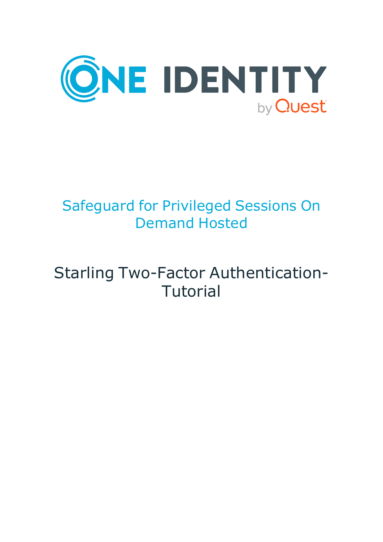

# Safeguard for Privileged Sessions On Demand Hosted

# Starling Two-Factor Authentication-Tutorial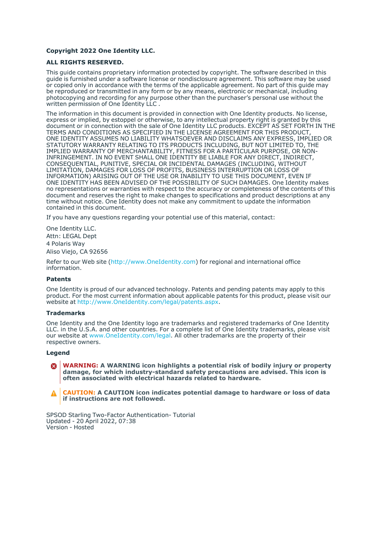#### **Copyright 2022 One Identity LLC.**

#### **ALL RIGHTS RESERVED.**

This guide contains proprietary information protected by copyright. The software described in this guide is furnished under a software license or nondisclosure agreement. This software may be used or copied only in accordance with the terms of the applicable agreement. No part of this guide may be reproduced or transmitted in any form or by any means, electronic or mechanical, including photocopying and recording for any purpose other than the purchaser's personal use without the written permission of One Identity LLC .

The information in this document is provided in connection with One Identity products. No license, express or implied, by estoppel or otherwise, to any intellectual property right is granted by this document or in connection with the sale of One Identity LLC products. EXCEPT AS SET FORTH IN THE TERMS AND CONDITIONS AS SPECIFIED IN THE LICENSE AGREEMENT FOR THIS PRODUCT, ONE IDENTITY ASSUMES NO LIABILITY WHATSOEVER AND DISCLAIMS ANY EXPRESS, IMPLIED OR STATUTORY WARRANTY RELATING TO ITS PRODUCTS INCLUDING, BUT NOT LIMITED TO, THE IMPLIED WARRANTY OF MERCHANTABILITY, FITNESS FOR A PARTICULAR PURPOSE, OR NON-INFRINGEMENT. IN NO EVENT SHALL ONE IDENTITY BE LIABLE FOR ANY DIRECT, INDIRECT, CONSEQUENTIAL, PUNITIVE, SPECIAL OR INCIDENTAL DAMAGES (INCLUDING, WITHOUT LIMITATION, DAMAGES FOR LOSS OF PROFITS, BUSINESS INTERRUPTION OR LOSS OF INFORMATION) ARISING OUT OF THE USE OR INABILITY TO USE THIS DOCUMENT, EVEN IF ONE IDENTITY HAS BEEN ADVISED OF THE POSSIBILITY OF SUCH DAMAGES. One Identity makes no representations or warranties with respect to the accuracy or completeness of the contents of this document and reserves the right to make changes to specifications and product descriptions at any time without notice. One Identity does not make any commitment to update the information contained in this document.

If you have any questions regarding your potential use of this material, contact:

One Identity LLC. Attn: LEGAL Dept 4 Polaris Way Aliso Viejo, CA 92656

Refer to our Web site [\(http://www.OneIdentity.com](http://www.oneidentity.com/)) for regional and international office information.

#### **Patents**

One Identity is proud of our advanced technology. Patents and pending patents may apply to this product. For the most current information about applicable patents for this product, please visit our website at [http://www.OneIdentity.com/legal/patents.aspx.](http://www.oneidentity.com/legal/patents.aspx)

#### **Trademarks**

One Identity and the One Identity logo are trademarks and registered trademarks of One Identity LLC. in the U.S.A. and other countries. For a complete list of One Identity trademarks, please visit our website at [www.OneIdentity.com/legal](http://www.oneidentity.com/legal). All other trademarks are the property of their respective owners.

#### **Legend**

**WARNING: A WARNING icon highlights a potential risk of bodily injury or property** œ **damage, for which industry-standard safety precautions are advised. This icon is often associated with electrical hazards related to hardware.**

**CAUTION: A CAUTION icon indicates potential damage to hardware or loss of data if instructions are not followed.**

SPSOD Starling Two-Factor Authentication- Tutorial Updated - 20 April 2022, 07:38 Version - Hosted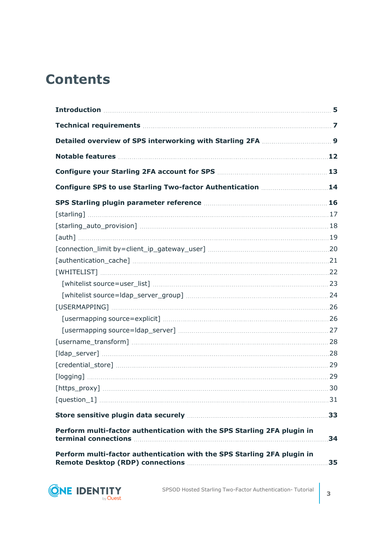### **Contents**

| Configure SPS to use Starling Two-factor Authentication 14                                                                                                                                                                                                                                                                                                                                                                                                       |    |
|------------------------------------------------------------------------------------------------------------------------------------------------------------------------------------------------------------------------------------------------------------------------------------------------------------------------------------------------------------------------------------------------------------------------------------------------------------------|----|
|                                                                                                                                                                                                                                                                                                                                                                                                                                                                  |    |
|                                                                                                                                                                                                                                                                                                                                                                                                                                                                  |    |
|                                                                                                                                                                                                                                                                                                                                                                                                                                                                  |    |
|                                                                                                                                                                                                                                                                                                                                                                                                                                                                  |    |
|                                                                                                                                                                                                                                                                                                                                                                                                                                                                  |    |
|                                                                                                                                                                                                                                                                                                                                                                                                                                                                  |    |
|                                                                                                                                                                                                                                                                                                                                                                                                                                                                  |    |
| $[whitelist source=user\_list] \  \, \ldots \  \, \ldots \  \, \ldots \  \, \ldots \  \, \ldots \  \, \ldots \  \, \ldots \  \, \ldots \  \, \ldots \  \, \ldots \  \, \ldots \  \, \, \ldots \  \, \, \, 23$                                                                                                                                                                                                                                                    |    |
|                                                                                                                                                                                                                                                                                                                                                                                                                                                                  |    |
|                                                                                                                                                                                                                                                                                                                                                                                                                                                                  |    |
|                                                                                                                                                                                                                                                                                                                                                                                                                                                                  |    |
|                                                                                                                                                                                                                                                                                                                                                                                                                                                                  |    |
|                                                                                                                                                                                                                                                                                                                                                                                                                                                                  |    |
|                                                                                                                                                                                                                                                                                                                                                                                                                                                                  |    |
| $[\text{credential\_store}] \hspace{1cm} \ldots \hspace{1cm} \ldots \hspace{1cm} \ldots \hspace{1cm} \ldots \hspace{1cm} \ldots \hspace{1cm} \ldots \hspace{1cm} \ldots \hspace{1cm} \ldots \hspace{1cm} \ldots \hspace{1cm} \ldots \hspace{1cm} \ldots \hspace{1cm} \ldots \hspace{1cm} \ldots \hspace{1cm} \ldots \hspace{1cm} \ldots \hspace{1cm} \ldots \hspace{1cm} \ldots \hspace{1cm} \ldots \hspace{1cm} \ldots \hspace{1cm} \ldots \hspace{1cm} \ldots$ |    |
|                                                                                                                                                                                                                                                                                                                                                                                                                                                                  |    |
|                                                                                                                                                                                                                                                                                                                                                                                                                                                                  |    |
|                                                                                                                                                                                                                                                                                                                                                                                                                                                                  |    |
|                                                                                                                                                                                                                                                                                                                                                                                                                                                                  | 33 |
| Perform multi-factor authentication with the SPS Starling 2FA plugin in                                                                                                                                                                                                                                                                                                                                                                                          | 34 |
| Perform multi-factor authentication with the SPS Starling 2FA plugin in                                                                                                                                                                                                                                                                                                                                                                                          | 35 |

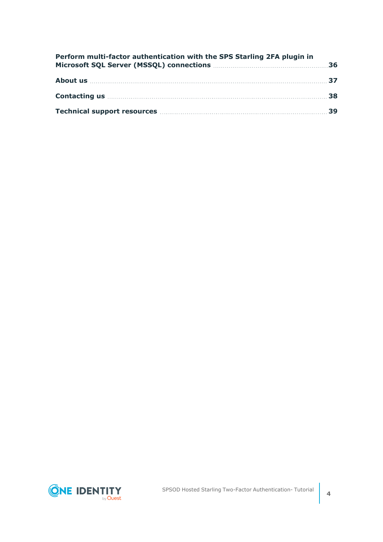|                                                                   |  | Perform multi-factor authentication with the SPS Starling 2FA plugin in |  |
|-------------------------------------------------------------------|--|-------------------------------------------------------------------------|--|
|                                                                   |  |                                                                         |  |
|                                                                   |  |                                                                         |  |
| Technical support resources <b>Manual Election Control</b> and 39 |  |                                                                         |  |

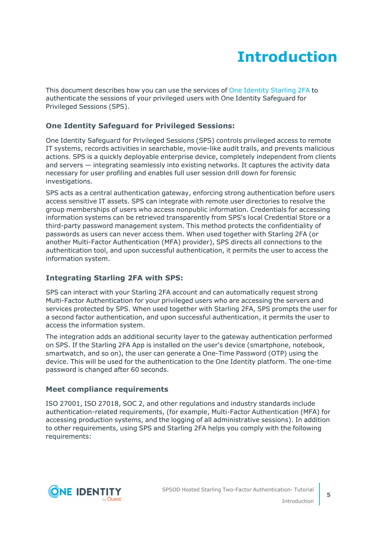# **Introduction**

<span id="page-4-0"></span>This document describes how you can use the services of One [Identity](https://www.oneidentity.com/) Starling 2FA to authenticate the sessions of your privileged users with One Identity Safeguard for Privileged Sessions (SPS).

#### **One Identity Safeguard for Privileged Sessions:**

One Identity Safeguard for Privileged Sessions (SPS) controls privileged access to remote IT systems, records activities in searchable, movie-like audit trails, and prevents malicious actions. SPS is a quickly deployable enterprise device, completely independent from clients and servers — integrating seamlessly into existing networks. It captures the activity data necessary for user profiling and enables full user session drill down for forensic investigations.

SPS acts as a central authentication gateway, enforcing strong authentication before users access sensitive IT assets. SPS can integrate with remote user directories to resolve the group memberships of users who access nonpublic information. Credentials for accessing information systems can be retrieved transparently from SPS's local Credential Store or a third-party password management system. This method protects the confidentiality of passwords as users can never access them. When used together with Starling 2FA (or another Multi-Factor Authentication (MFA) provider), SPS directs all connections to the authentication tool, and upon successful authentication, it permits the user to access the information system.

#### **Integrating Starling 2FA with SPS:**

SPS can interact with your Starling 2FA account and can automatically request strong Multi-Factor Authentication for your privileged users who are accessing the servers and services protected by SPS. When used together with Starling 2FA, SPS prompts the user for a second factor authentication, and upon successful authentication, it permits the user to access the information system.

The integration adds an additional security layer to the gateway authentication performed on SPS. If the Starling 2FA App is installed on the user's device (smartphone, notebook, smartwatch, and so on), the user can generate a One-Time Password (OTP) using the device. This will be used for the authentication to the One Identity platform. The one-time password is changed after 60 seconds.

#### **Meet compliance requirements**

ISO 27001, ISO 27018, SOC 2, and other regulations and industry standards include authentication-related requirements, (for example, Multi-Factor Authentication (MFA) for accessing production systems, and the logging of all administrative sessions). In addition to other requirements, using SPS and Starling 2FA helps you comply with the following requirements:

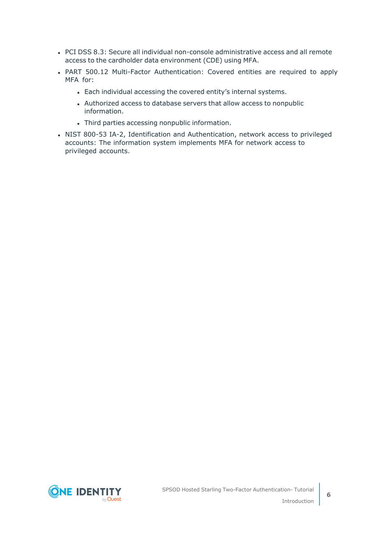- PCI DSS 8.3: Secure all individual non-console administrative access and all remote access to the cardholder data environment (CDE) using MFA.
- PART 500.12 Multi-Factor Authentication: Covered entities are required to apply MFA for:
	- Each individual accessing the covered entity's internal systems.
	- Authorized access to database servers that allow access to nonpublic information.
	- Third parties accessing nonpublic information.
- NIST 800-53 IA-2, Identification and Authentication, network access to privileged accounts: The information system implements MFA for network access to privileged accounts.

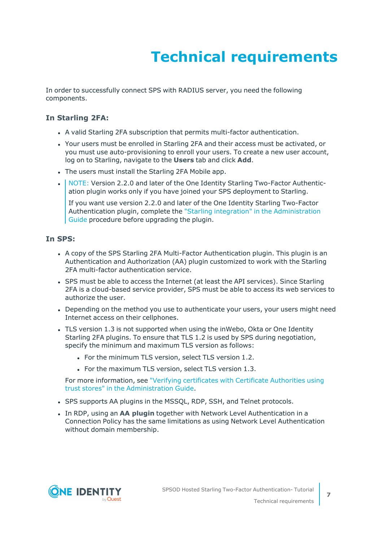# **Technical requirements**

<span id="page-6-0"></span>In order to successfully connect SPS with RADIUS server, you need the following components.

#### **In Starling 2FA:**

- A valid Starling 2FA subscription that permits multi-factor authentication.
- Your users must be enrolled in Starling 2FA and their access must be activated, or you must use auto-provisioning to enroll your users. To create a new user account, log on to Starling, navigate to the **Users** tab and click **Add**.
- The users must install the Starling 2FA Mobile app.
- NOTE: Version 2.2.0 and later of the One Identity Starling Two-Factor Authentication plugin works only if you have joined your SPS deployment to Starling.

If you want use version 2.2.0 and later of the One Identity Starling Two-Factor Authentication plugin, complete the "Starling integration" in the [Administration](https://support.oneidentity.com/technical-documents/safeguard-for-privileged-sessions/6.13.1/administration-guide/basic-settings/starling-integration/) [Guide](https://support.oneidentity.com/technical-documents/safeguard-for-privileged-sessions/6.13.1/administration-guide/basic-settings/starling-integration/) procedure before upgrading the plugin.

#### **In SPS:**

- A copy of the SPS Starling 2FA Multi-Factor Authentication plugin. This plugin is an Authentication and Authorization (AA) plugin customized to work with the Starling 2FA multi-factor authentication service.
- SPS must be able to access the Internet (at least the API services). Since Starling 2FA is a cloud-based service provider, SPS must be able to access its web services to authorize the user.
- Depending on the method you use to authenticate your users, your users might need Internet access on their cellphones.
- TLS version 1.3 is not supported when using the inWebo, Okta or One Identity Starling 2FA plugins. To ensure that TLS 1.2 is used by SPS during negotiation, specify the minimum and maximum TLS version as follows:
	- For the minimum TLS version, select TLS version 1.2.
	- For the maximum TLS version, select TLS version 1.3.

For more information, see "Verifying [certificates](https://support.oneidentity.com/technical-documents/safeguard-for-privileged-sessions/6.13.1/administration-guide/general-connection-settings/verifying-certificates-with-certificate-authorities-using-trust-stores/) with Certificate Authorities using trust stores" in the [Administration](https://support.oneidentity.com/technical-documents/safeguard-for-privileged-sessions/6.13.1/administration-guide/general-connection-settings/verifying-certificates-with-certificate-authorities-using-trust-stores/) Guide.

- SPS supports AA plugins in the MSSQL, RDP, SSH, and Telnet protocols.
- **In RDP, using an AA plugin together with Network Level Authentication in a** Connection Policy has the same limitations as using Network Level Authentication without domain membership.

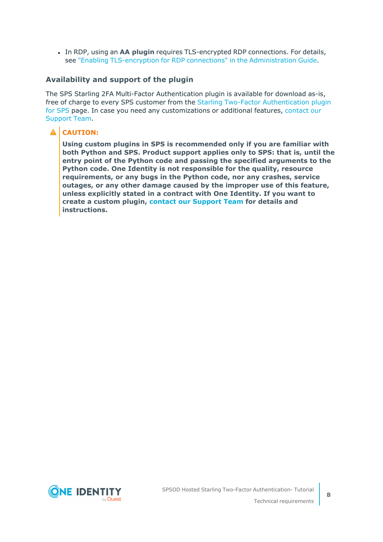**In RDP, using an AA plugin requires TLS-encrypted RDP connections. For details,** see "Enabling [TLS-encryption](https://support.oneidentity.com/technical-documents/safeguard-for-privileged-sessions/6.13.1/administration-guide/rdp-specific-settings/enabling-tls-encryption-for-rdp-connections/) for RDP connections" in the Administration Guide.

#### **Availability and support of the plugin**

The SPS Starling 2FA Multi-Factor Authentication plugin is available for download as-is, free of charge to every SPS customer from the Starling Two-Factor [Authentication](https://github.com/OneIdentity/safeguard-sessions-plugin-starling-2fa/releases) plugin for [SPS](https://github.com/OneIdentity/safeguard-sessions-plugin-starling-2fa/releases) page. In case you need any customizations or additional features, [contact](https://support.oneidentity.com/one-identity-safeguard-for-privileged-sessions) our [Support](https://support.oneidentity.com/one-identity-safeguard-for-privileged-sessions) Team.

#### **A** CAUTION:

**Using custom plugins in SPS is recommended only if you are familiar with both Python and SPS. Product support applies only to SPS: that is, until the entry point of the Python code and passing the specified arguments to the Python code. One Identity is not responsible for the quality, resource requirements, or any bugs in the Python code, nor any crashes, service outages, or any other damage caused by the improper use of this feature, unless explicitly stated in a contract with One Identity. If you want to create a custom plugin, contact our [Support](https://support.oneidentity.com/one-identity-safeguard-for-privileged-sessions) Team for details and instructions.**

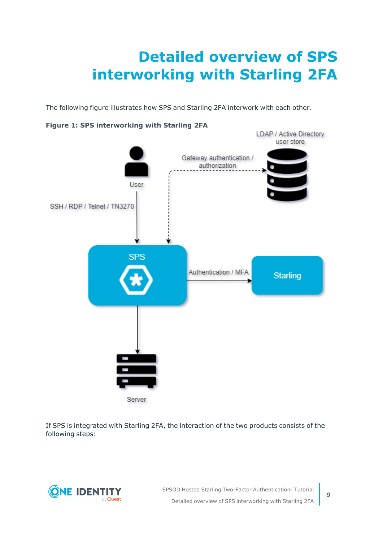# <span id="page-8-0"></span>**Detailed overview of SPS interworking with Starling 2FA**

The following figure illustrates how SPS and Starling 2FA interwork with each other.



#### **Figure 1: SPS interworking with Starling 2FA**

If SPS is integrated with Starling 2FA, the interaction of the two products consists of the following steps:

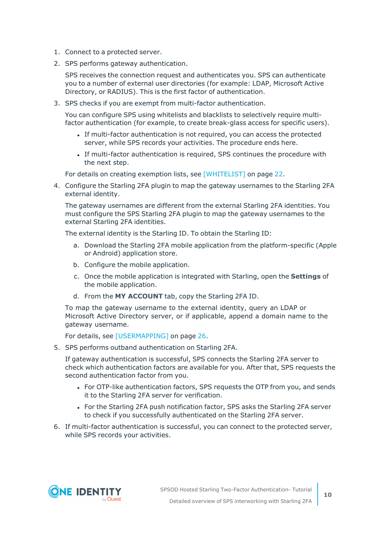- 1. Connect to a protected server.
- 2. SPS performs gateway authentication.

SPS receives the connection request and authenticates you. SPS can authenticate you to a number of external user directories (for example: LDAP, Microsoft Active Directory, or RADIUS). This is the first factor of authentication.

3. SPS checks if you are exempt from multi-factor authentication.

You can configure SPS using whitelists and blacklists to selectively require multifactor authentication (for example, to create break-glass access for specific users).

- If multi-factor authentication is not required, you can access the protected server, while SPS records your activities. The procedure ends here.
- If multi-factor authentication is required, SPS continues the procedure with the next step.

For details on creating exemption lists, see [\[WHITELIST\]](#page-21-0) on page 22.

4. Configure the Starling 2FA plugin to map the gateway usernames to the Starling 2FA external identity.

The gateway usernames are different from the external Starling 2FA identities. You must configure the SPS Starling 2FA plugin to map the gateway usernames to the external Starling 2FA identities.

The external identity is the Starling ID. To obtain the Starling ID:

- a. Download the Starling 2FA mobile application from the platform-specific (Apple or Android) application store.
- b. Configure the mobile application.
- c. Once the mobile application is integrated with Starling, open the **Settings** of the mobile application.
- d. From the **MY ACCOUNT** tab, copy the Starling 2FA ID.

To map the gateway username to the external identity, query an LDAP or Microsoft Active Directory server, or if applicable, append a domain name to the gateway username.

For details, see [\[USERMAPPING\]](#page-25-0) on page 26.

5. SPS performs outband authentication on Starling 2FA.

If gateway authentication is successful, SPS connects the Starling 2FA server to check which authentication factors are available for you. After that, SPS requests the second authentication factor from you.

- For OTP-like authentication factors, SPS requests the OTP from you, and sends it to the Starling 2FA server for verification.
- For the Starling 2FA push notification factor, SPS asks the Starling 2FA server to check if you successfully authenticated on the Starling 2FA server.
- 6. If multi-factor authentication is successful, you can connect to the protected server, while SPS records your activities.

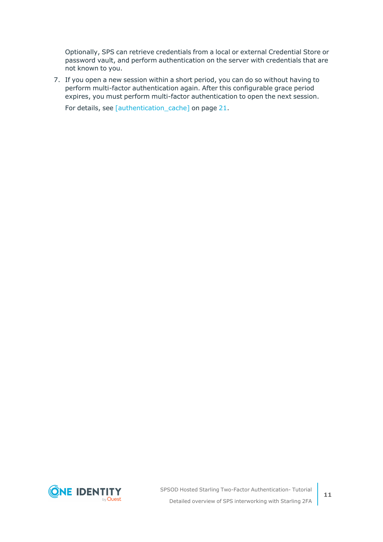Optionally, SPS can retrieve credentials from a local or external Credential Store or password vault, and perform authentication on the server with credentials that are not known to you.

7. If you open a new session within a short period, you can do so without having to perform multi-factor authentication again. After this configurable grace period expires, you must perform multi-factor authentication to open the next session.

For details, see [\[authentication\\_cache\]](#page-20-0) on page 21.

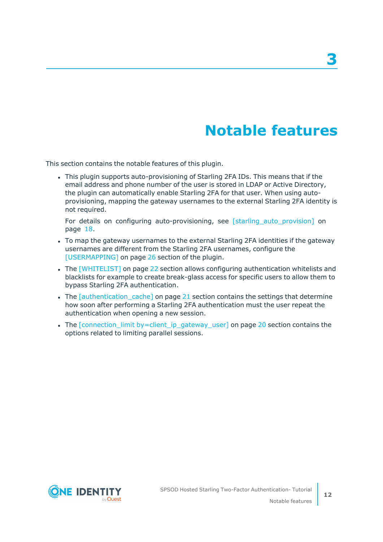### **Notable features**

<span id="page-11-0"></span>This section contains the notable features of this plugin.

• This plugin supports auto-provisioning of Starling 2FA IDs. This means that if the email address and phone number of the user is stored in LDAP or Active Directory, the plugin can automatically enable Starling 2FA for that user. When using autoprovisioning, mapping the gateway usernames to the external Starling 2FA identity is not required.

For details on configuring auto-provisioning, see [\[starling\\_auto\\_provision\]](#page-17-0) on [page](#page-17-0) 18.

- To map the gateway usernames to the external Starling 2FA identities if the gateway usernames are different from the Starling 2FA usernames, configure the [\[USERMAPPING\]](#page-25-0) on page 26 section of the plugin.
- The [\[WHITELIST\]](#page-21-0) on page 22 section allows configuring authentication whitelists and blacklists for example to create break-glass access for specific users to allow them to bypass Starling 2FA authentication.
- The [\[authentication\\_cache\]](#page-20-0) on page 21 section contains the settings that determine how soon after performing a Starling 2FA authentication must the user repeat the authentication when opening a new session.
- The [connection\_limit [by=client\\_ip\\_gateway\\_user\]](#page-19-0) on page 20 section contains the options related to limiting parallel sessions.

**3**

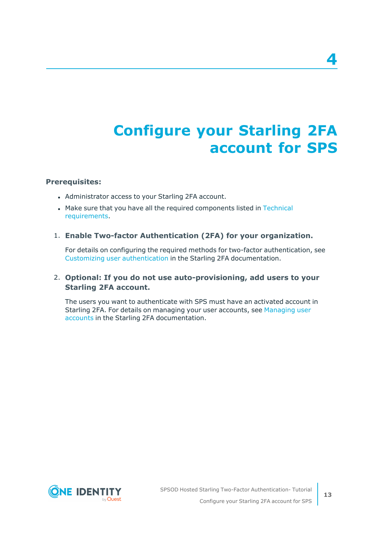# <span id="page-12-0"></span>**Configure your Starling 2FA account for SPS**

#### **Prerequisites:**

- Administrator access to your Starling 2FA account.
- Make sure that you have all the required components listed in [Technical](#page-6-0) [requirements](#page-6-0).

#### 1. **Enable Two-factor Authentication (2FA) for your organization.**

For details on configuring the required methods for two-factor authentication, see Customizing user [authentication](https://support.oneidentity.com/technical-documents/starling-two-factor-authentication/hosted/starling-two-factor-authentication-administration-guide/3#TOPIC-678621) in the Starling 2FA documentation.

#### 2. **Optional: If you do not use auto-provisioning, add users to your Starling 2FA account.**

The users you want to authenticate with SPS must have an activated account in Starling 2FA. For details on managing your user accounts, see [Managing](https://support.oneidentity.com/technical-documents/starling-two-factor-authentication/hosted/starling-two-factor-authentication-administration-guide/3#TOPIC-678619) user [accounts](https://support.oneidentity.com/technical-documents/starling-two-factor-authentication/hosted/starling-two-factor-authentication-administration-guide/3#TOPIC-678619) in the Starling 2FA documentation.



**4**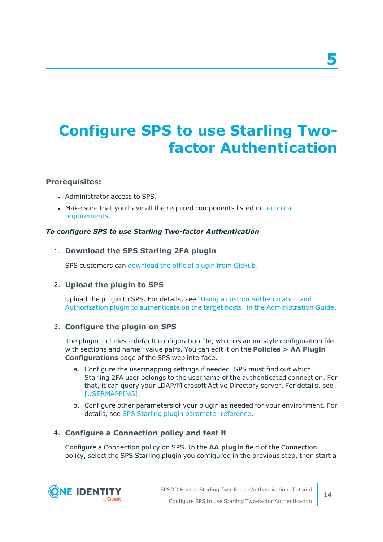# <span id="page-13-0"></span>**Configure SPS to use Starling Twofactor Authentication**

#### **Prerequisites:**

- Administrator access to SPS.
- Make sure that you have all the required components listed in [Technical](#page-6-0) [requirements](#page-6-0).

#### *To configure SPS to use Starling Two-factor Authentication*

#### 1. **Download the SPS Starling 2FA plugin**

SPS customers can [download](https://github.com/OneIdentity/safeguard-sessions-plugin-starling-2fa/releases) the official plugin from GitHub.

#### 2. **Upload the plugin to SPS**

Upload the plugin to SPS. For details, see "Using a custom [Authentication](https://support.oneidentity.com/technical-documents/safeguard-for-privileged-sessions/6.13.1/administration-guide/advanced-authentication-and-authorization-techniques/integrating-external-authentication-and-authorization-systems/using-a-custom-authentication-and-authorization-plugin-to-authenticate-on-the-target-hosts/) and Authorization plugin to authenticate on the target hosts" in the [Administration](https://support.oneidentity.com/technical-documents/safeguard-for-privileged-sessions/6.13.1/administration-guide/advanced-authentication-and-authorization-techniques/integrating-external-authentication-and-authorization-systems/using-a-custom-authentication-and-authorization-plugin-to-authenticate-on-the-target-hosts/) Guide.

#### 3. **Configure the plugin on SPS**

The plugin includes a default configuration file, which is an ini-style configuration file with sections and name=value pairs. You can edit it on the **Policies > AA Plugin Configurations** page of the SPS web interface.

- a. Configure the usermapping settings if needed. SPS must find out which Starling 2FA user belongs to the username of the authenticated connection. For that, it can query your LDAP/Microsoft Active Directory server. For details, see [\[USERMAPPING\].](#page-25-0)
- b. Configure other parameters of your plugin as needed for your environment. For details, see SPS Starling plugin [parameter](#page-15-0) reference.

#### 4. **Configure a Connection policy and test it**

Configure a Connection policy on SPS. In the **AA plugin** field of the Connection policy, select the SPS Starling plugin you configured in the previous step, then start a

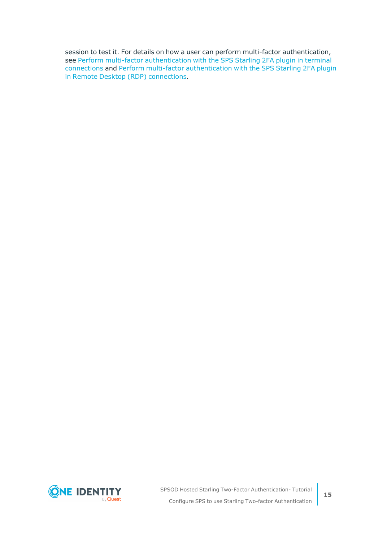session to test it. For details on how a user can perform multi-factor authentication, see Perform multi-factor [authentication](#page-33-0) with the SPS Starling 2FA plugin in terminal [connections](#page-33-0) and Perform multi-factor [authentication](#page-34-0) with the SPS Starling 2FA plugin in Remote Desktop (RDP) [connections](#page-34-0).

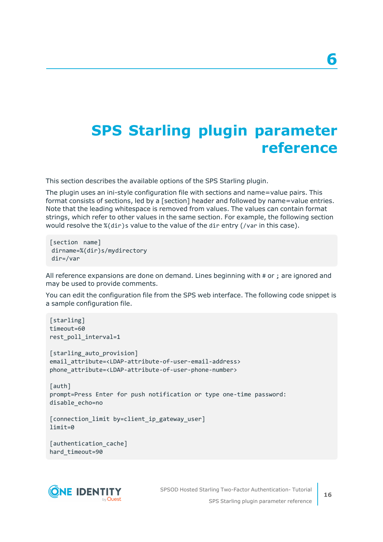### <span id="page-15-0"></span>**SPS Starling plugin parameter reference**

This section describes the available options of the SPS Starling plugin.

The plugin uses an ini-style configuration file with sections and name=value pairs. This format consists of sections, led by a [section] header and followed by name=value entries. Note that the leading whitespace is removed from values. The values can contain format strings, which refer to other values in the same section. For example, the following section would resolve the %(dir)s value to the value of the dir entry (/var in this case).

```
[section name]
dirname=%(dir)s/mydirectory
dir=/var
```
All reference expansions are done on demand. Lines beginning with # or ; are ignored and may be used to provide comments.

You can edit the configuration file from the SPS web interface. The following code snippet is a sample configuration file.

```
[starling]
timeout=60
rest_poll_interval=1
[starling_auto_provision]
email_attribute=<LDAP-attribute-of-user-email-address>
phone_attribute=<LDAP-attribute-of-user-phone-number>
[auth]
prompt=Press Enter for push notification or type one-time password:
disable_echo=no
[connection_limit by=client_ip_gateway_user]
limit=0
[authentication_cache]
```


hard\_timeout=90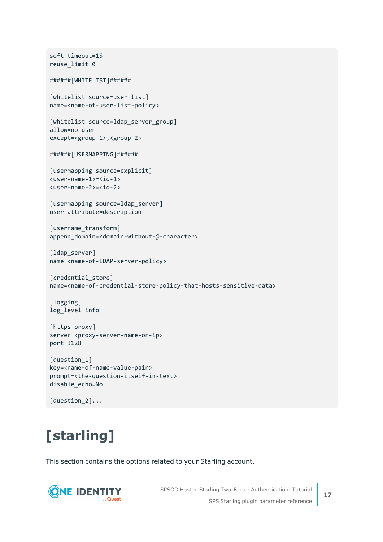```
soft_timeout=15
reuse_limit=0
######[WHITELIST]######
[whitelist source=user list]
name=<name-of-user-list-policy>
[whitelist source=ldap_server_group]
allow=no_user
except=<group-1>,<group-2>
######[USERMAPPING]######
[usermapping source=explicit]
<user-name-1>=<id-1>
<user-name-2>=<id-2>
[usermapping source=ldap server]
user_attribute=description
[username_transform]
append domain=<domain-without-@-character>
[ldap server]
name=<name-of-LDAP-server-policy>
[credential_store]
name=<name-of-credential-store-policy-that-hosts-sensitive-data>
[logging]
log_level=info
[https_proxy]
server=<proxy-server-name-or-ip>
port=3128
[question_1]
key=<name-of-name-value-pair>
prompt=<the-question-itself-in-text>
disable_echo=No
```

```
[question_2]...
```
# <span id="page-16-0"></span>**[starling]**

This section contains the options related to your Starling account.



SPSOD Hosted Starling Two-Factor Authentication- Tutorial SPS Starling plugin parameter reference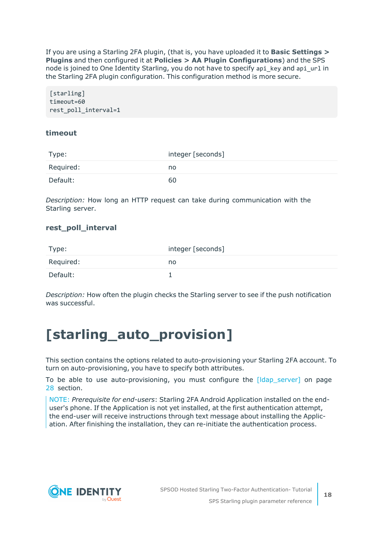If you are using a Starling 2FA plugin, (that is, you have uploaded it to **Basic Settings > Plugins** and then configured it at **Policies > AA Plugin Configurations**) and the SPS node is joined to One Identity Starling, you do not have to specify api\_key and api\_url in the Starling 2FA plugin configuration. This configuration method is more secure.

[starling] timeout=60 rest\_poll\_interval=1

#### **timeout**

| Type:     | integer [seconds] |
|-----------|-------------------|
| Required: | no                |
| Default:  | 60                |

*Description:* How long an HTTP request can take during communication with the Starling server.

#### **rest\_poll\_interval**

| Type:     | integer [seconds] |
|-----------|-------------------|
| Required: | no                |
| Default:  |                   |

*Description:* How often the plugin checks the Starling server to see if the push notification was successful.

### <span id="page-17-0"></span>**[starling\_auto\_provision]**

This section contains the options related to auto-provisioning your Starling 2FA account. To turn on auto-provisioning, you have to specify both attributes.

To be able to use auto-provisioning, you must configure the [\[ldap\\_server\]](#page-27-1) on page [28](#page-27-1) section.

NOTE: *Prerequisite for end-users*: Starling 2FA Android Application installed on the enduser's phone. If the Application is not yet installed, at the first authentication attempt, the end-user will receive instructions through text message about installing the Application. After finishing the installation, they can re-initiate the authentication process.

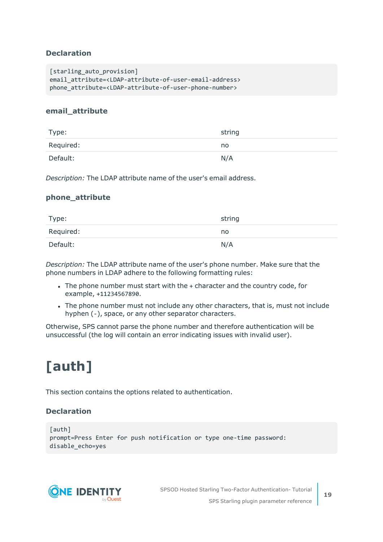#### **Declaration**

```
[starling auto provision]
email_attribute=<LDAP-attribute-of-user-email-address>
phone_attribute=<LDAP-attribute-of-user-phone-number>
```
#### **email\_attribute**

| Type:     | string |
|-----------|--------|
| Required: | no     |
| Default:  | N/A    |

*Description:* The LDAP attribute name of the user's email address.

#### **phone\_attribute**

| Type:     | string |
|-----------|--------|
| Required: | no     |
| Default:  | N/A    |

*Description:* The LDAP attribute name of the user's phone number. Make sure that the phone numbers in LDAP adhere to the following formatting rules:

- The phone number must start with the + character and the country code, for example, +11234567890.
- The phone number must not include any other characters, that is, must not include hyphen (-), space, or any other separator characters.

Otherwise, SPS cannot parse the phone number and therefore authentication will be unsuccessful (the log will contain an error indicating issues with invalid user).

# <span id="page-18-0"></span>**[auth]**

This section contains the options related to authentication.

#### **Declaration**

```
[auth]
prompt=Press Enter for push notification or type one-time password:
disable_echo=yes
```


SPSOD Hosted Starling Two-Factor Authentication- Tutorial SPS Starling plugin parameter reference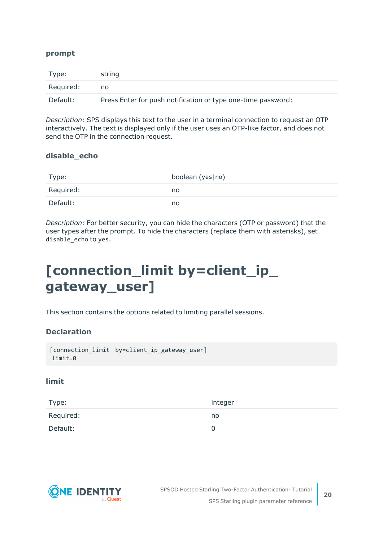#### **prompt**

| Type:     | string                                                       |
|-----------|--------------------------------------------------------------|
| Required: | no                                                           |
| Default:  | Press Enter for push notification or type one-time password: |

*Description:* SPS displays this text to the user in a terminal connection to request an OTP interactively. The text is displayed only if the user uses an OTP-like factor, and does not send the OTP in the connection request.

#### **disable\_echo**

| Type:     | boolean (yes no) |
|-----------|------------------|
| Required: | no               |
| Default:  | no               |

*Description:* For better security, you can hide the characters (OTP or password) that the user types after the prompt. To hide the characters (replace them with asterisks), set disable\_echo to yes.

### <span id="page-19-0"></span>**[connection\_limit by=client\_ip\_ gateway\_user]**

This section contains the options related to limiting parallel sessions.

#### **Declaration**

```
[connection_limit by=client_ip_gateway_user]
limit=0
```
#### **limit**

| Type:     | integer |
|-----------|---------|
| Required: | no      |
| Default:  |         |

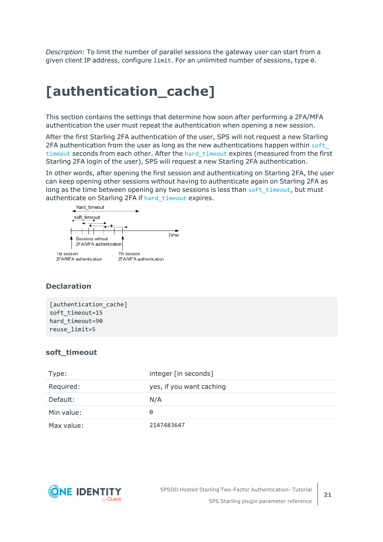*Description:* To limit the number of parallel sessions the gateway user can start from a given client IP address, configure limit. For an unlimited number of sessions, type 0.

### <span id="page-20-0"></span>**[authentication\_cache]**

This section contains the settings that determine how soon after performing a 2FA/MFA authentication the user must repeat the authentication when opening a new session.

After the first Starling 2FA authentication of the user, SPS will not request a new Starling 2FA authentication from the user as long as the new authentications happen within [soft\\_](#page-20-1) [timeout](#page-20-1) seconds from each other. After the hard timeout expires (measured from the first Starling 2FA login of the user), SPS will request a new Starling 2FA authentication.

In other words, after opening the first session and authenticating on Starling 2FA, the user can keep opening other sessions without having to authenticate again on Starling 2FA as long as the time between opening any two sessions is less than soft timeout, but must authenticate on Starling 2FA if [hard\\_timeout](#page-21-1) expires.



#### **Declaration**

[authentication\_cache] soft\_timeout=15 hard timeout=90 reuse\_limit=5

#### <span id="page-20-1"></span>**soft\_timeout**

| Type:      | integer [in seconds]     |
|------------|--------------------------|
| Required:  | yes, if you want caching |
| Default:   | N/A                      |
| Min value: | 0                        |
| Max value: | 2147483647               |

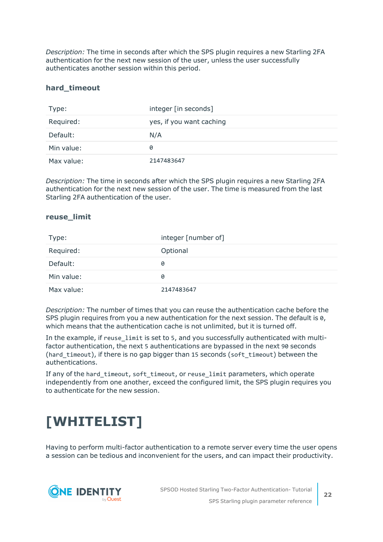*Description:* The time in seconds after which the SPS plugin requires a new Starling 2FA authentication for the next new session of the user, unless the user successfully authenticates another session within this period.

#### <span id="page-21-1"></span>**hard\_timeout**

| Type:      | integer [in seconds]     |
|------------|--------------------------|
| Required:  | yes, if you want caching |
| Default:   | N/A                      |
| Min value: | 0                        |
| Max value: | 2147483647               |

*Description:* The time in seconds after which the SPS plugin requires a new Starling 2FA authentication for the next new session of the user. The time is measured from the last Starling 2FA authentication of the user.

#### **reuse\_limit**

| Type:      | integer [number of] |
|------------|---------------------|
| Required:  | Optional            |
| Default:   | 0                   |
| Min value: | 0                   |
| Max value: | 2147483647          |

*Description:* The number of times that you can reuse the authentication cache before the SPS plugin requires from you a new authentication for the next session. The default is 0, which means that the authentication cache is not unlimited, but it is turned off.

In the example, if reuse limit is set to 5, and you successfully authenticated with multifactor authentication, the next 5 authentications are bypassed in the next 90 seconds (hard timeout), if there is no gap bigger than 15 seconds (soft timeout) between the authentications.

If any of the hard\_timeout, soft\_timeout, or reuse\_limit parameters, which operate independently from one another, exceed the configured limit, the SPS plugin requires you to authenticate for the new session.

### <span id="page-21-0"></span>**[WHITELIST]**

Having to perform multi-factor authentication to a remote server every time the user opens a session can be tedious and inconvenient for the users, and can impact their productivity.

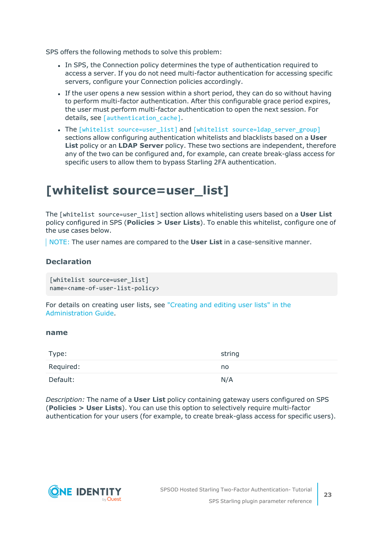SPS offers the following methods to solve this problem:

- In SPS, the Connection policy determines the type of authentication required to access a server. If you do not need multi-factor authentication for accessing specific servers, configure your Connection policies accordingly.
- If the user opens a new session within a short period, they can do so without having to perform multi-factor authentication. After this configurable grace period expires, the user must perform multi-factor authentication to open the next session. For details, see [authentication cache].
- The [whitelist [source=user\\_list\]](../../../../../Content/Guides/integrations/shared/plugin-section-whitelist-ul.htm) and [whitelist [source=ldap\\_server\\_group\]](../../../../../Content/Guides/integrations/shared/plugin-section-whitelist-lsg.htm) sections allow configuring authentication whitelists and blacklists based on a **User List** policy or an **LDAP Server** policy. These two sections are independent, therefore any of the two can be configured and, for example, can create break-glass access for specific users to allow them to bypass Starling 2FA authentication.

### <span id="page-22-0"></span>**[whitelist source=user\_list]**

The [whitelist source=user\_list] section allows whitelisting users based on a **User List** policy configured in SPS (**Policies > User Lists**). To enable this whitelist, configure one of the use cases below.

NOTE: The user names are compared to the **User List** in a case-sensitive manner.

#### **Declaration**

```
[whitelist source=user list]
name=<name-of-user-list-policy>
```
For details on creating user lists, see ["Creating](https://support.oneidentity.com/technical-documents/safeguard-for-privileged-sessions/6.13.1/administration-guide/general-connection-settings/creating-and-editing-user-lists/) and editing user lists" in the [Administration](https://support.oneidentity.com/technical-documents/safeguard-for-privileged-sessions/6.13.1/administration-guide/general-connection-settings/creating-and-editing-user-lists/) Guide.

#### <span id="page-22-1"></span>**name**

| Type:     | string |
|-----------|--------|
| Required: | no     |
| Default:  | N/A    |

*Description:* The name of a **User List** policy containing gateway users configured on SPS (**Policies > User Lists**). You can use this option to selectively require multi-factor authentication for your users (for example, to create break-glass access for specific users).

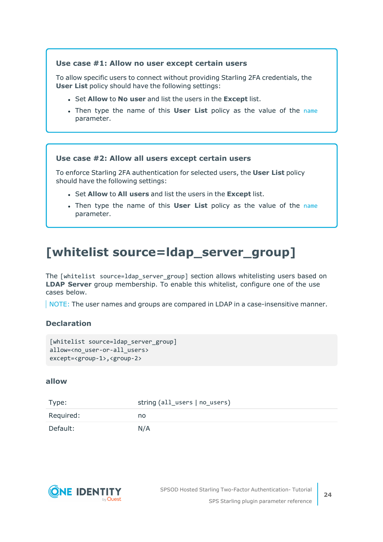#### **Use case #1: Allow no user except certain users**

To allow specific users to connect without providing Starling 2FA credentials, the **User List** policy should have the following settings:

- <sup>l</sup> Set **Allow** to **No user** and list the users in the **Except** list.
- <sup>l</sup> Then type the name of this **User List** policy as the value of the [name](#page-22-1) parameter.

#### **Use case #2: Allow all users except certain users**

To enforce Starling 2FA authentication for selected users, the **User List** policy should have the following settings:

- <sup>l</sup> Set **Allow** to **All users** and list the users in the **Except** list.
- <sup>l</sup> Then type the name of this **User List** policy as the value of the [name](#page-22-1) parameter.

### <span id="page-23-0"></span>**[whitelist source=ldap\_server\_group]**

The [whitelist source=ldap server group] section allows whitelisting users based on **LDAP Server** group membership. To enable this whitelist, configure one of the use cases below.

NOTE: The user names and groups are compared in LDAP in a case-insensitive manner.

#### **Declaration**

```
[whitelist source=ldap_server_group]
allow=<no_user-or-all_users>
except=<group-1>,<group-2>
```
#### <span id="page-23-1"></span>**allow**

| Type:     | string (all_users   no_users) |
|-----------|-------------------------------|
| Required: | no.                           |
| Default:  | N/A                           |

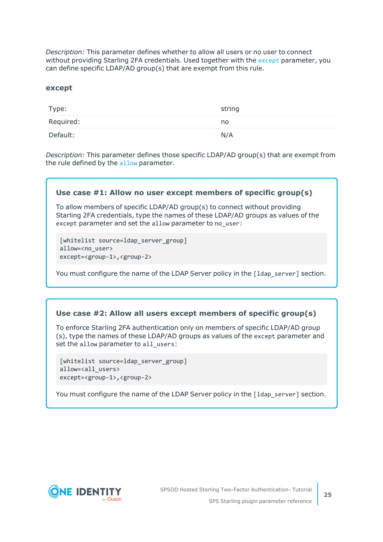*Description:* This parameter defines whether to allow all users or no user to connect without providing Starling 2FA credentials. Used together with the [except](#page-24-0) parameter, you can define specific LDAP/AD group(s) that are exempt from this rule.

#### <span id="page-24-0"></span>**except**

| Type:     | string |
|-----------|--------|
| Required: | no     |
| Default:  | N/A    |

*Description:* This parameter defines those specific LDAP/AD group(s) that are exempt from the rule defined by the [allow](#page-23-1) parameter.

#### **Use case #1: Allow no user except members of specific group(s)**

To allow members of specific LDAP/AD group(s) to connect without providing Starling 2FA credentials, type the names of these LDAP/AD groups as values of the except parameter and set the allow parameter to no user:

```
[whitelist source=ldap server group]
allow=<no_user>
except=<group-1>,<group-2>
```
You must configure the name of the LDAP Server policy in the [1dap\_server] section.

#### **Use case #2: Allow all users except members of specific group(s)**

To enforce Starling 2FA authentication only on members of specific LDAP/AD group (s), type the names of these LDAP/AD groups as values of the except parameter and set the allow parameter to all users:

```
[whitelist source=ldap_server_group]
allow=<all_users>
except=<group-1>,<group-2>
```
You must configure the name of the LDAP Server policy in the [1dap\_server] section.

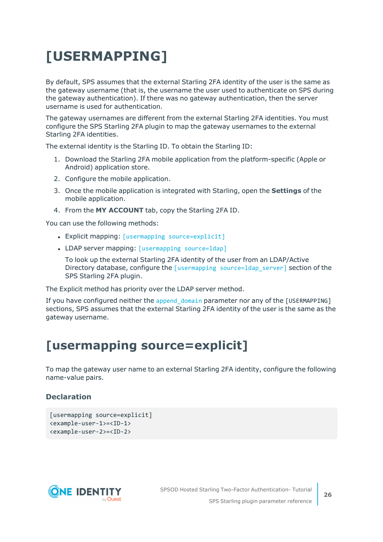# <span id="page-25-0"></span>**[USERMAPPING]**

By default, SPS assumes that the external Starling 2FA identity of the user is the same as the gateway username (that is, the username the user used to authenticate on SPS during the gateway authentication). If there was no gateway authentication, then the server username is used for authentication.

The gateway usernames are different from the external Starling 2FA identities. You must configure the SPS Starling 2FA plugin to map the gateway usernames to the external Starling 2FA identities.

The external identity is the Starling ID. To obtain the Starling ID:

- 1. Download the Starling 2FA mobile application from the platform-specific (Apple or Android) application store.
- 2. Configure the mobile application.
- 3. Once the mobile application is integrated with Starling, open the **Settings** of the mobile application.
- 4. From the **MY ACCOUNT** tab, copy the Starling 2FA ID.

You can use the following methods:

- Explicit mapping: [usermapping [source=explicit\]](../../../../../Content/Guides/integrations/shared/plugin-section-usermapping-expl.htm)
- LDAP server mapping: [\[usermapping](../../../../../Content/Guides/integrations/shared/plugin-section-usermapping-ldap.htm) source=ldap]

To look up the external Starling 2FA identity of the user from an LDAP/Active Directory database, configure the [usermapping source=ldap server] section of the SPS Starling 2FA plugin.

The Explicit method has priority over the LDAP server method.

If you have configured neither the append domain parameter nor any of the [USERMAPPING] sections, SPS assumes that the external Starling 2FA identity of the user is the same as the gateway username.

### <span id="page-25-1"></span>**[usermapping source=explicit]**

To map the gateway user name to an external Starling 2FA identity, configure the following name-value pairs.

#### **Declaration**

```
[usermapping source=explicit]
<example-user-1>=<ID-1>
<example-user-2>=<ID-2>
```
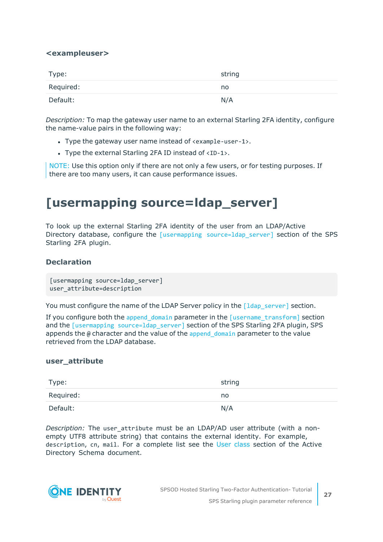#### **<exampleuser>**

| Type:     | string |
|-----------|--------|
| Required: | no.    |
| Default:  | N/A    |

*Description:* To map the gateway user name to an external Starling 2FA identity, configure the name-value pairs in the following way:

- Type the gateway user name instead of <example-user-1>.
- Type the external Starling 2FA ID instead of  $\langle$ ID-1>.

NOTE: Use this option only if there are not only a few users, or for testing purposes. If there are too many users, it can cause performance issues.

### <span id="page-26-0"></span>**[usermapping source=ldap\_server]**

To look up the external Starling 2FA identity of the user from an LDAP/Active Directory database, configure the [usermapping source=1dap server] section of the SPS Starling 2FA plugin.

#### **Declaration**

[usermapping source=ldap\_server] user\_attribute=description

You must configure the name of the LDAP Server policy in the  $\lceil 1 \text{day server} \rceil$  section.

If you configure both the append domain parameter in the  $\lceil$ username transform $\rceil$  section and the [usermapping source=1dap server] section of the SPS Starling 2FA plugin, SPS appends the  $\omega$  character and the value of the append domain parameter to the value retrieved from the LDAP database.

#### **user\_attribute**

| Type:     | string |
|-----------|--------|
| Required: | no     |
| Default:  | N/A    |

*Description:* The user attribute must be an LDAP/AD user attribute (with a nonempty UTF8 attribute string) that contains the external identity. For example, description, cn, mail. For a complete list see the User [class](https://docs.microsoft.com/en-gb/windows/desktop/ADSchema/c-user) section of the Active Directory Schema document.

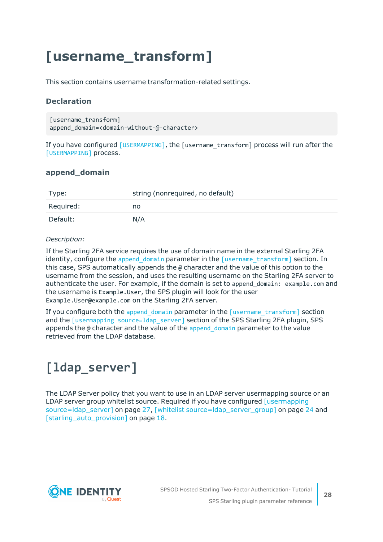### <span id="page-27-0"></span>**[username\_transform]**

This section contains username transformation-related settings.

#### **Declaration**

```
[username_transform]
append domain=<domain-without-@-character>
```
If you have configured [\[USERMAPPING\]](../../../../../Content/Guides/integrations/shared/plugin-section-usermapping.htm), the [username\_transform] process will run after the [\[USERMAPPING\]](../../../../../Content/Guides/integrations/shared/plugin-section-usermapping.htm) process.

#### **append\_domain**

| Type:     | string (nonrequired, no default) |
|-----------|----------------------------------|
| Required: | no                               |
| Default:  | N/A                              |

#### *Description:*

If the Starling 2FA service requires the use of domain name in the external Starling 2FA identity, configure the append domain parameter in the  $[$ username transform] section. In this case, SPS automatically appends the @ character and the value of this option to the username from the session, and uses the resulting username on the Starling 2FA server to authenticate the user. For example, if the domain is set to append\_domain: example.com and the username is Example.User, the SPS plugin will look for the user Example.User@example.com on the Starling 2FA server.

If you configure both the append domain parameter in the  $\lceil$ username transform $\rceil$  section and the [usermapping source=1dap\_server] section of the SPS Starling 2FA plugin, SPS appends the  $\omega$  character and the value of the append domain parameter to the value retrieved from the LDAP database.

### <span id="page-27-1"></span>**[ldap\_server]**

The LDAP Server policy that you want to use in an LDAP server usermapping source or an LDAP server group whitelist source. Required if you have configured [\[usermapping](#page-26-0) [source=ldap\\_server\]](#page-26-0) on page 27, [whitelist [source=ldap\\_server\\_group\]](#page-23-0) on page 24 and [\[starling\\_auto\\_provision\]](#page-17-0) on page 18.

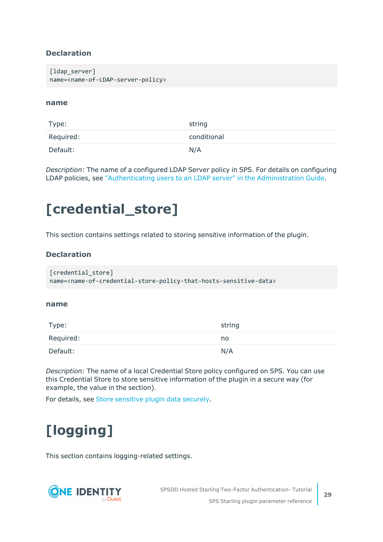#### **Declaration**

[ldap server] name=<name-of-LDAP-server-policy>

#### **name**

| Type:     | string      |
|-----------|-------------|
| Required: | conditional |
| Default:  | N/A         |

*Description:* The name of a configured LDAP Server policy in SPS. For details on configuring LDAP policies, see ["Authenticating](https://support.oneidentity.com/technical-documents/safeguard-for-privileged-sessions/6.13.1/administration-guide/general-connection-settings/authenticating-users-to-an-ldap-server/) users to an LDAP server" in the Administration Guide.

### <span id="page-28-0"></span>**[credential\_store]**

This section contains settings related to storing sensitive information of the plugin.

#### **Declaration**

```
[credential_store]
name=<name-of-credential-store-policy-that-hosts-sensitive-data>
```
#### **name**

| Type:     | string |
|-----------|--------|
| Required: | no     |
| Default:  | N/A    |

*Description:* The name of a local Credential Store policy configured on SPS. You can use this Credential Store to store sensitive information of the plugin in a secure way (for example, the value in the section).

<span id="page-28-1"></span>For details, see Store [sensitive](#page-32-0) plugin data securely.

# **[logging]**

This section contains logging-related settings.

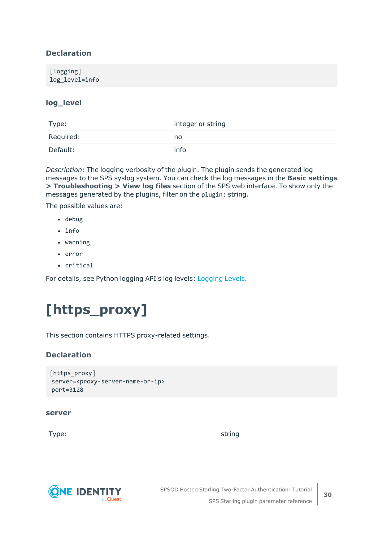#### **Declaration**

#### **log\_level**

| Type:     | integer or string |
|-----------|-------------------|
| Required: | no.               |
| Default:  | info              |

*Description:* The logging verbosity of the plugin. The plugin sends the generated log messages to the SPS syslog system. You can check the log messages in the **Basic settings > Troubleshooting > View log files** section of the SPS web interface. To show only the messages generated by the plugins, filter on the plugin: string.

The possible values are:

- debug
- info
- warning
- $\cdot$  error
- critical

<span id="page-29-0"></span>For details, see Python logging API's log levels: [Logging](https://docs.python.org/2/library/logging.html#logging-levels) Levels.

### **[https\_proxy]**

This section contains HTTPS proxy-related settings.

#### **Declaration**

```
[https_proxy]
server=<proxy-server-name-or-ip>
port=3128
```
#### **server**

Type: which is a string string string to the string string string in the string string  $\sim$ 



SPSOD Hosted Starling Two-Factor Authentication- Tutorial SPS Starling plugin parameter reference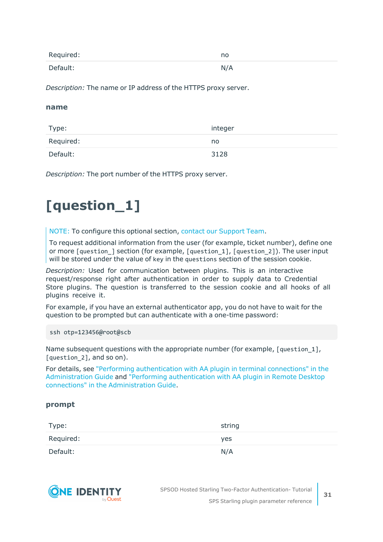| Required: | no  |
|-----------|-----|
| Default:  | N/A |

*Description:* The name or IP address of the HTTPS proxy server.

#### **name**

| Type:     | integer |
|-----------|---------|
| Required: | no.     |
| Default:  | 3128    |

<span id="page-30-0"></span>*Description:* The port number of the HTTPS proxy server.

### **[question\_1]**

NOTE: To configure this optional section, contact our [Support](https://support.oneidentity.com/one-identity-safeguard-for-privileged-sessions) Team.

To request additional information from the user (for example, ticket number), define one or more [question ] section (for example, [question 1], [question 2]). The user input will be stored under the value of key in the questions section of the session cookie.

*Description:* Used for communication between plugins. This is an interactive request/response right after authentication in order to supply data to Credential Store plugins. The question is transferred to the session cookie and all hooks of all plugins receive it.

For example, if you have an external authenticator app, you do not have to wait for the question to be prompted but can authenticate with a one-time password:

ssh otp=123456@root@scb

Name subsequent questions with the appropriate number (for example, [question 1], [question 2], and so on).

For details, see "Performing [authentication](https://support.oneidentity.com/technical-documents/safeguard-for-privileged-sessions/6.13.1/administration-guide/advanced-authentication-and-authorization-techniques/integrating-external-authentication-and-authorization-systems/performing-authentication-with-aa-plugin-in-terminal-connections/) with AA plugin in terminal connections" in the [Administration](https://support.oneidentity.com/technical-documents/safeguard-for-privileged-sessions/6.13.1/administration-guide/advanced-authentication-and-authorization-techniques/integrating-external-authentication-and-authorization-systems/performing-authentication-with-aa-plugin-in-terminal-connections/) Guide and "Performing [authentication](https://support.oneidentity.com/technical-documents/safeguard-for-privileged-sessions/6.13.1/administration-guide/advanced-authentication-and-authorization-techniques/integrating-external-authentication-and-authorization-systems/performing-authentication-with-aa-plugin-in-remote-desktop-connections/) with AA plugin in Remote Desktop connections" in the [Administration](https://support.oneidentity.com/technical-documents/safeguard-for-privileged-sessions/6.13.1/administration-guide/advanced-authentication-and-authorization-techniques/integrating-external-authentication-and-authorization-systems/performing-authentication-with-aa-plugin-in-remote-desktop-connections/) Guide.

#### **prompt**

| Type:     | string     |
|-----------|------------|
| Required: | <b>yes</b> |
| Default:  | N/A        |



SPSOD Hosted Starling Two-Factor Authentication- Tutorial SPS Starling plugin parameter reference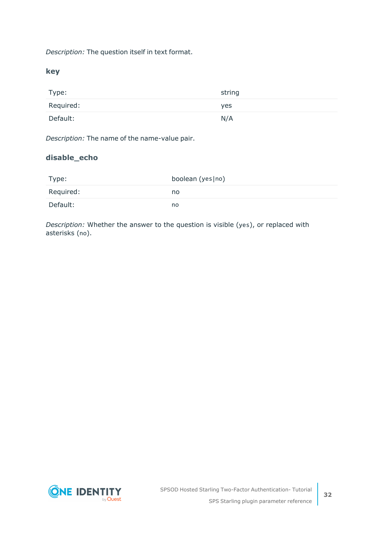*Description:* The question itself in text format.

**key**

| Type:     | string |
|-----------|--------|
| Required: | yes    |
| Default:  | N/A    |

*Description:* The name of the name-value pair.

#### **disable\_echo**

| Type:     | boolean (yes no) |
|-----------|------------------|
| Required: | no               |
| Default:  | no               |

*Description:* Whether the answer to the question is visible (yes), or replaced with asterisks (no).



**32**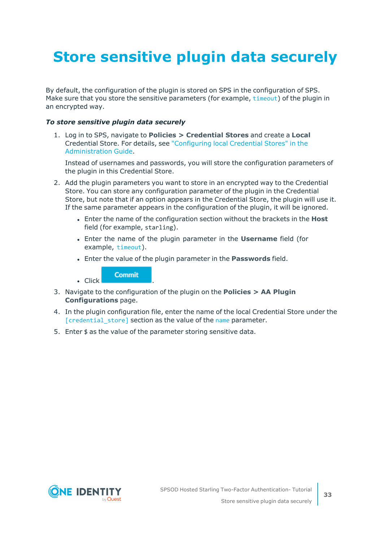# <span id="page-32-0"></span>**Store sensitive plugin data securely**

By default, the configuration of the plugin is stored on SPS in the configuration of SPS. Make sure that you store the sensitive parameters (for example, [timeout](../../../../../Content/Guides/integrations/starling-plugin/starling-plugin-options.htm)) of the plugin in an encrypted way.

#### *To store sensitive plugin data securely*

1. Log in to SPS, navigate to **Policies > Credential Stores** and create a **Local** Credential Store. For details, see ["Configuring](https://support.oneidentity.com/technical-documents/safeguard-for-privileged-sessions/6.13.1/administration-guide/advanced-authentication-and-authorization-techniques/using-credential-stores-for-server-side-authentication/configuring-local-credential-stores/) local Credential Stores" in the [Administration](https://support.oneidentity.com/technical-documents/safeguard-for-privileged-sessions/6.13.1/administration-guide/advanced-authentication-and-authorization-techniques/using-credential-stores-for-server-side-authentication/configuring-local-credential-stores/) Guide.

Instead of usernames and passwords, you will store the configuration parameters of the plugin in this Credential Store.

- 2. Add the plugin parameters you want to store in an encrypted way to the Credential Store. You can store any configuration parameter of the plugin in the Credential Store, but note that if an option appears in the Credential Store, the plugin will use it. If the same parameter appears in the configuration of the plugin, it will be ignored.
	- <sup>l</sup> Enter the name of the configuration section without the brackets in the **Host** field (for example, starling).
	- <sup>l</sup> Enter the name of the plugin parameter in the **Username** field (for example, [timeout](../../../../../Content/Guides/integrations/starling-plugin/starling-plugin-options.htm)).
	- <sup>l</sup> Enter the value of the plugin parameter in the **Passwords** field.

**Commit** 

 $\blacksquare$  Click

- 3. Navigate to the configuration of the plugin on the **Policies > AA Plugin Configurations** page.
- 4. In the plugin configuration file, enter the name of the local Credential Store under the [\[credential\\_store\]](../../../../../Content/Guides/integrations/shared/plugin-section-cred-store.htm) section as the value of the [name](#scb-plugin-option-cred-store-name) parameter.
- 5. Enter \$ as the value of the parameter storing sensitive data.

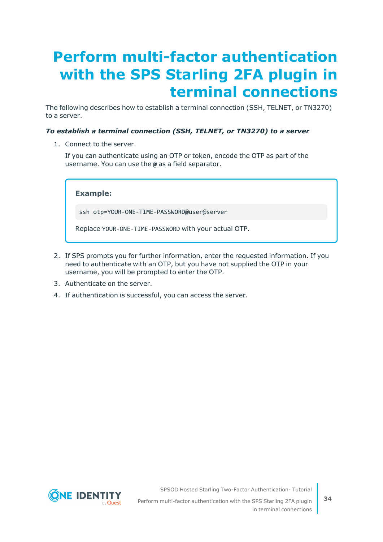## <span id="page-33-0"></span>**Perform multi-factor authentication with the SPS Starling 2FA plugin in terminal connections**

The following describes how to establish a terminal connection (SSH, TELNET, or TN3270) to a server.

#### *To establish a terminal connection (SSH, TELNET, or TN3270) to a server*

1. Connect to the server.

If you can authenticate using an OTP or token, encode the OTP as part of the username. You can use the @ as a field separator.

**Example:**

ssh otp=YOUR-ONE-TIME-PASSWORD@user@server

Replace YOUR-ONE-TIME-PASSWORD with your actual OTP.

- 2. If SPS prompts you for further information, enter the requested information. If you need to authenticate with an OTP, but you have not supplied the OTP in your username, you will be prompted to enter the OTP.
- 3. Authenticate on the server.
- 4. If authentication is successful, you can access the server.



SPSOD Hosted Starling Two-Factor Authentication- Tutorial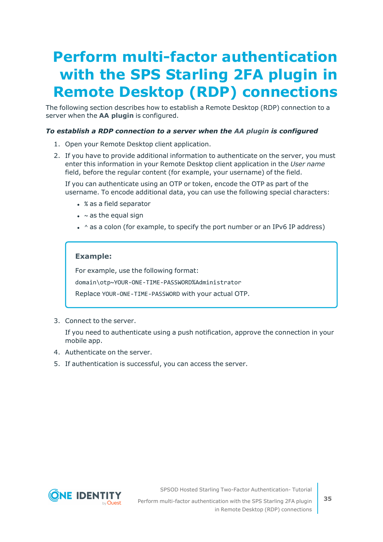# <span id="page-34-0"></span>**Perform multi-factor authentication with the SPS Starling 2FA plugin in Remote Desktop (RDP) connections**

The following section describes how to establish a Remote Desktop (RDP) connection to a server when the **AA plugin** is configured.

#### *To establish a RDP connection to a server when the AA plugin is configured*

- 1. Open your Remote Desktop client application.
- 2. If you have to provide additional information to authenticate on the server, you must enter this information in your Remote Desktop client application in the *User name* field, before the regular content (for example, your username) of the field.

If you can authenticate using an OTP or token, encode the OTP as part of the username. To encode additional data, you can use the following special characters:

- % as a field separator
- $\bullet$  ~ as the equal sign
- $\cdot$  ^ as a colon (for example, to specify the port number or an IPv6 IP address)

#### **Example:**

For example, use the following format:

domain\otp~YOUR-ONE-TIME-PASSWORD%Administrator

Replace YOUR-ONE-TIME-PASSWORD with your actual OTP.

3. Connect to the server.

If you need to authenticate using a push notification, approve the connection in your mobile app.

- 4. Authenticate on the server.
- 5. If authentication is successful, you can access the server.



SPSOD Hosted Starling Two-Factor Authentication- Tutorial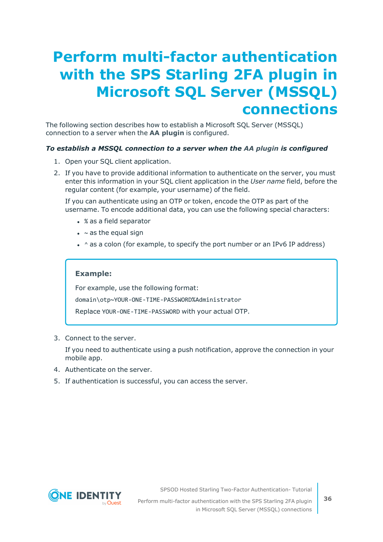### <span id="page-35-0"></span>**Perform multi-factor authentication with the SPS Starling 2FA plugin in Microsoft SQL Server (MSSQL) connections**

The following section describes how to establish a Microsoft SQL Server (MSSQL) connection to a server when the **AA plugin** is configured.

#### *To establish a MSSQL connection to a server when the AA plugin is configured*

- 1. Open your SQL client application.
- 2. If you have to provide additional information to authenticate on the server, you must enter this information in your SQL client application in the *User name* field, before the regular content (for example, your username) of the field.

If you can authenticate using an OTP or token, encode the OTP as part of the username. To encode additional data, you can use the following special characters:

- % as a field separator
- $\bullet$  ~ as the equal sign
- $\cdot$  ^ as a colon (for example, to specify the port number or an IPv6 IP address)

#### **Example:**

For example, use the following format: domain\otp~YOUR-ONE-TIME-PASSWORD%Administrator

Replace YOUR-ONE-TIME-PASSWORD with your actual OTP.

3. Connect to the server.

If you need to authenticate using a push notification, approve the connection in your mobile app.

- 4. Authenticate on the server.
- 5. If authentication is successful, you can access the server.



SPSOD Hosted Starling Two-Factor Authentication- Tutorial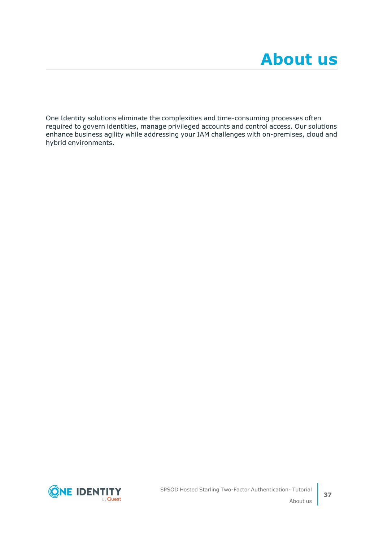<span id="page-36-0"></span>One Identity solutions eliminate the complexities and time-consuming processes often required to govern identities, manage privileged accounts and control access. Our solutions enhance business agility while addressing your IAM challenges with on-premises, cloud and hybrid environments.

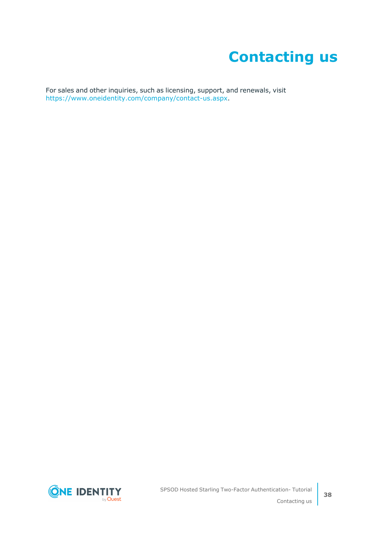## **Contacting us**

<span id="page-37-0"></span>For sales and other inquiries, such as licensing, support, and renewals, visit [https://www.oneidentity.com/company/contact-us.aspx.](https://www.oneidentity.com/company/contact-us.aspx)

**ONE IDENTITY** by **Quest**